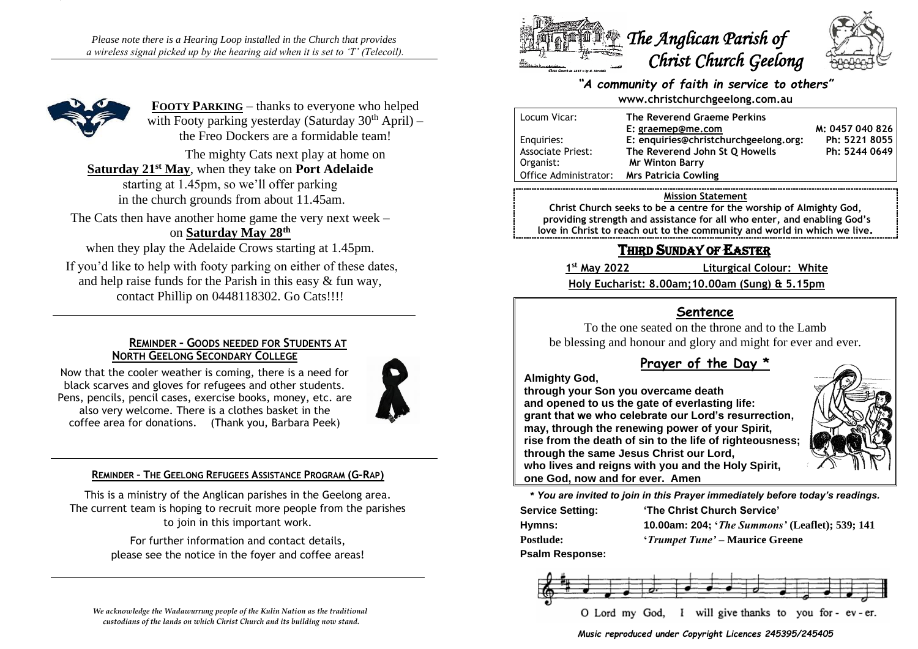*Please note there is a Hearing Loop installed in the Church that provides a wireless signal picked up by the hearing aid when it is set to 'T' (Telecoil).*



**FOOTY PARKING** – thanks to everyone who helped with Footy parking yesterday (Saturday  $30<sup>th</sup>$  April) – the Freo Dockers are a formidable team!

The mighty Cats next play at home on **Saturday 21st May**, when they take on **Port Adelaide**

starting at 1.45pm, so we'll offer parking in the church grounds from about 11.45am.

The Cats then have another home game the very next week – on **Saturday May 28th**

when they play the Adelaide Crows starting at 1.45pm. If you'd like to help with footy parking on either of these dates, and help raise funds for the Parish in this easy & fun way, contact Phillip on 0448118302. Go Cats!!!!

### **REMINDER – GOODS NEEDED FOR STUDENTS AT NORTH GEELONG SECONDARY COLLEGE**

Now that the cooler weather is coming, there is a need for black scarves and gloves for refugees and other students. Pens, pencils, pencil cases, exercise books, money, etc. are also very welcome. There is a clothes basket in the coffee area for donations. (Thank you, Barbara Peek)



### **REMINDER – THE GEELONG REFUGEES ASSISTANCE PROGRAM (G-RAP)**

This is a ministry of the Anglican parishes in the Geelong area. The current team is hoping to recruit more people from the parishes to join in this important work.

> For further information and contact details, please see the notice in the foyer and coffee areas!

*We acknowledge the Wadawurrung people of the Kulin Nation as the traditional custodians of the lands on which Christ Church and its building now stand.*



## *"A community of faith in service to others"* **www.christchurchgeelong.com.au**

| Locum Vicar:             | The Reverend Graeme Perkins           |                 |
|--------------------------|---------------------------------------|-----------------|
|                          | E: graemep@me.com                     | M: 0457 040 826 |
| Enguiries:               | E: enquiries@christchurchgeelong.org: | Ph: 5221 8055   |
| <b>Associate Priest:</b> | The Reverend John St Q Howells        | Ph: 5244 0649   |
| Organist:                | <b>Mr Winton Barry</b>                |                 |
| Office Administrator:    | Mrs Patricia Cowling                  |                 |

#### **Mission Statement**

**Christ Church seeks to be a centre for the worship of Almighty God, providing strength and assistance for all who enter, and enabling God's love in Christ to reach out to the community and world in which we live.**

# THIRD SUNDAY OF EASTER

1st May 2022

**st May 2022 Liturgical Colour: White**

**Holy Eucharist: 8.00am;10.00am (Sung) & 5.15pm**

# **Sentence**

To the one seated on the throne and to the Lamb be blessing and honour and glory and might for ever and ever.

# **Prayer of the Day \***

**Almighty God,**

**through your Son you overcame death and opened to us the gate of everlasting life: grant that we who celebrate our Lord's resurrection, may, through the renewing power of your Spirit, rise from the death of sin to the life of righteousness; through the same Jesus Christ our Lord, who lives and reigns with you and the Holy Spirit, one God, now and for ever. Amen**



**\*** *You are invited to join in this Prayer immediately before today's readings.*

| <b>Service Setting:</b> | 'The Christ Church Service'                            |  |
|-------------------------|--------------------------------------------------------|--|
| Hymns:                  | <b>10.00am: 204; 'The Summons' (Leaflet); 539; 141</b> |  |
| <b>Postlude:</b>        | <i>'Trumpet Tune'</i> – Maurice Greene                 |  |
| Dealm Deananas          |                                                        |  |





*Music reproduced under Copyright Licences 245395/245405*